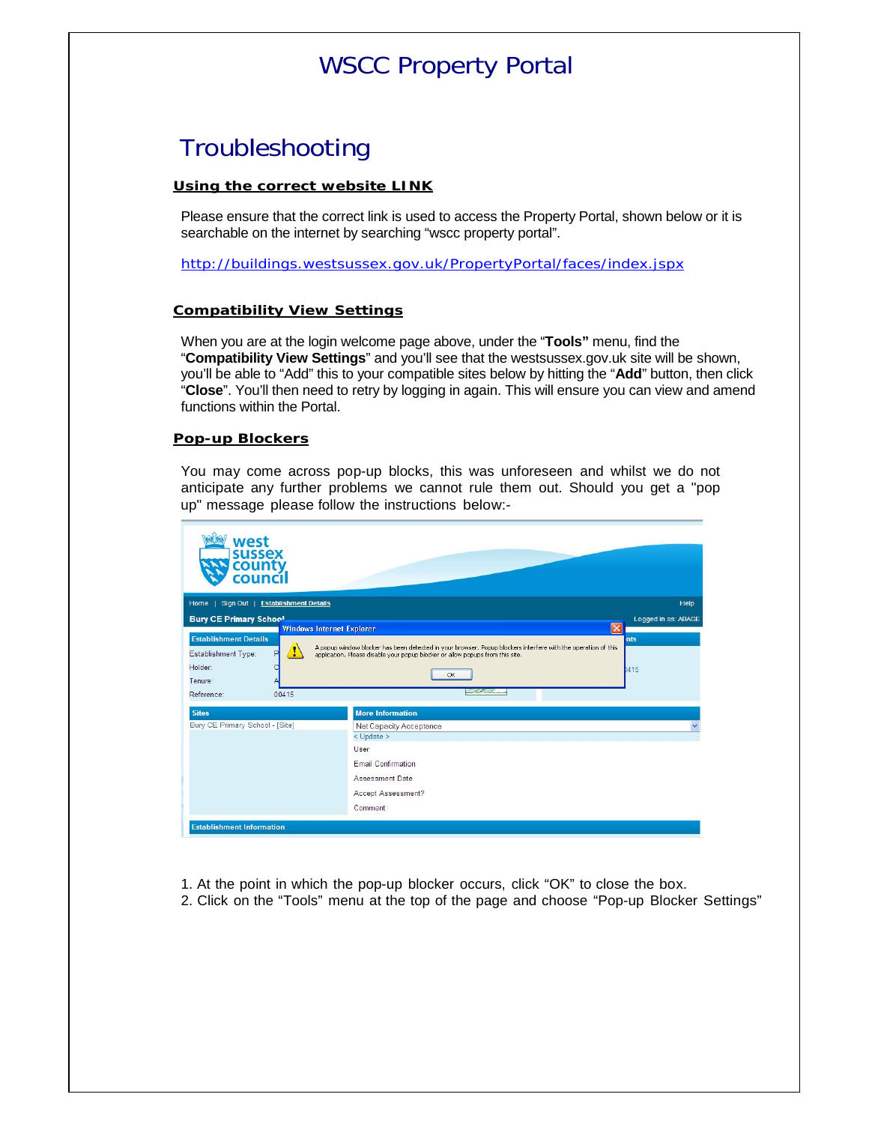# WSCC Property Portal

## Troubleshooting

#### **Using the correct website LINK**

Please ensure that the correct link is used to access the Property Portal, shown below or it is searchable on the internet by searching "wscc property portal".

<http://buildings.westsussex.gov.uk/PropertyPortal/faces/index.jspx>

#### **Compatibility View Settings**

When you are at the login welcome page above, under the "**Tools"** menu, find the "**Compatibility View Settings**" and you'll see that the westsussex.gov.uk site will be shown, you'll be able to "Add" this to your compatible sites below by hitting the "**Add**" button, then click "**Close**". You'll then need to retry by logging in again. This will ensure you can view and amend functions within the Portal.

#### **Pop-up Blockers**

You may come across pop-up blocks, this was unforeseen and whilst we do not anticipate any further problems we cannot rule them out. Should you get a "pop up" message please follow the instructions below:-

| west<br><b>SUSSEX</b><br>count<br>council                                                                               |                                                                                                                                                                                                                                  |                     |
|-------------------------------------------------------------------------------------------------------------------------|----------------------------------------------------------------------------------------------------------------------------------------------------------------------------------------------------------------------------------|---------------------|
| Home   Sign Out   Establishment Details                                                                                 |                                                                                                                                                                                                                                  | Help                |
| <b>Bury CE Primary School</b>                                                                                           |                                                                                                                                                                                                                                  | Logged in as: ABAGE |
| <b>Windows Internet Explorer</b><br><b>Establishment Details</b><br>y<br>Establishment Type:<br>в<br>Holder:<br>Tenure: | $\overline{\mathsf{x}}$<br>A popup window blocker has been detected in your browser. Popup blockers interfere with the operation of this<br>application. Please disable your popup blocker or allow popups from this site.<br>OK | nts<br>1415         |
| 00415<br>Reference:                                                                                                     | بالمتحص                                                                                                                                                                                                                          |                     |
| <b>Sites</b><br>Bury CE Primary School - [Site]                                                                         | <b>More Information</b><br>Net Capacity Acceptance<br>$<$ Update $>$<br>User<br><b>Email Confirmation</b><br><b>Assessment Date</b><br>Accept Assessment?<br>Comment                                                             | $\checkmark$        |

- 1. At the point in which the pop-up blocker occurs, click "OK" to close the box.
- 2. Click on the "Tools" menu at the top of the page and choose "Pop-up Blocker Settings"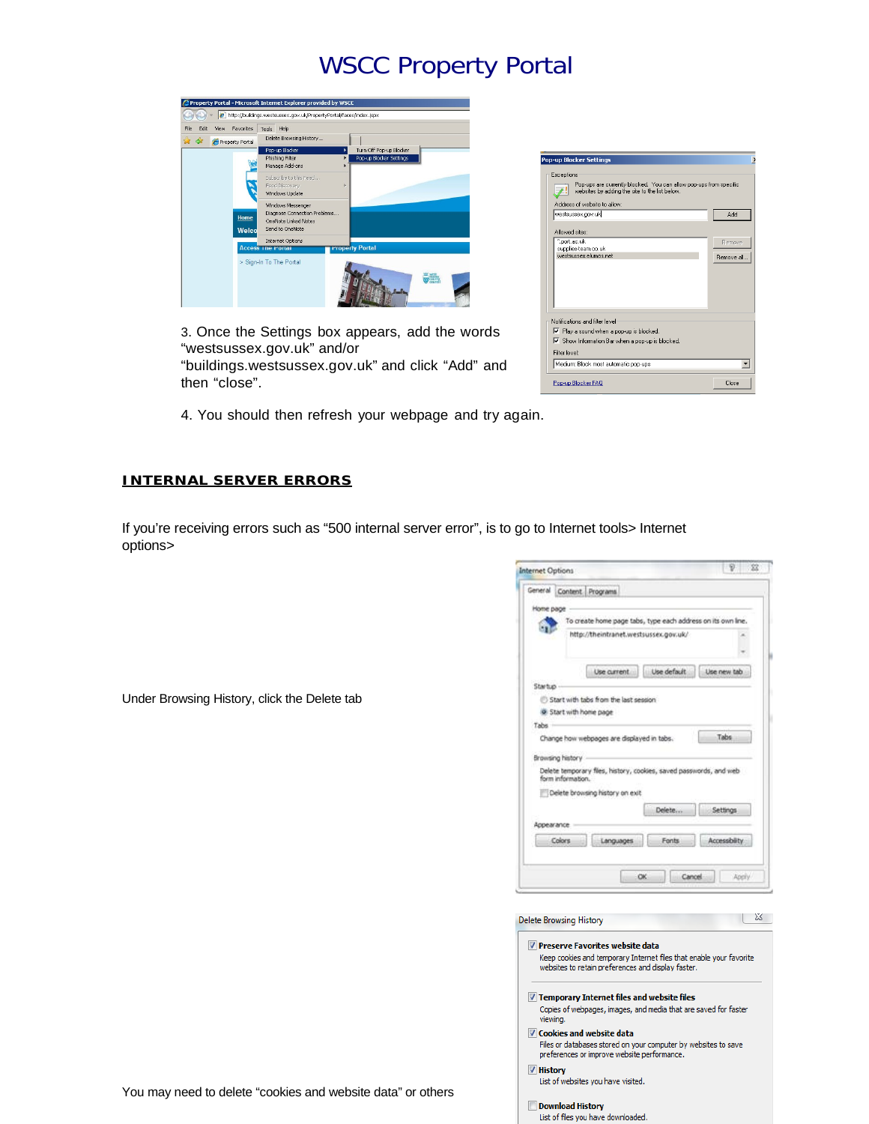# WSCC Property Portal



3. Once the Settings box appears, add the words "westsussex.gov.uk" and/or "buildings.westsussex.gov.uk" and click "Add" and then "close".

| Exceptions<br>Pop-ups are currently blocked. You can allow pop-ups from specific                                                                |                   |
|-------------------------------------------------------------------------------------------------------------------------------------------------|-------------------|
| websites by adding the site to the list below.                                                                                                  |                   |
| Address of website to allow:                                                                                                                    |                   |
| westsussex.gov.uk                                                                                                                               | Add               |
| Allowed sites:                                                                                                                                  |                   |
| ".port.ac.uk                                                                                                                                    | Remove            |
| supplies-team.co.uk<br>westsussex.elumos.net                                                                                                    | <b>Bemove all</b> |
|                                                                                                                                                 |                   |
|                                                                                                                                                 |                   |
|                                                                                                                                                 |                   |
|                                                                                                                                                 |                   |
|                                                                                                                                                 |                   |
|                                                                                                                                                 |                   |
|                                                                                                                                                 |                   |
|                                                                                                                                                 |                   |
|                                                                                                                                                 |                   |
| Notifications and filter level<br>▼ Play a sound when a pop-up is blocked.<br>Ⅳ Show Information Bar when a pop-up is blocked.<br>Filter level: |                   |
|                                                                                                                                                 |                   |
| Medium: Block most automatic pop-ups                                                                                                            |                   |

4. You should then refresh your webpage and try again.

#### **INTERNAL SERVER ERRORS**

If you're receiving errors such as "500 internal server error", is to go to Internet tools> Internet options>

| <b>Internet Options</b>        |                                                                     |                                                                |                        |
|--------------------------------|---------------------------------------------------------------------|----------------------------------------------------------------|------------------------|
|                                | General Content Programs                                            |                                                                |                        |
| Home page                      |                                                                     |                                                                |                        |
|                                | To create home page tabs, type each address on its own line.        |                                                                |                        |
|                                | http://theintranet.westsussex.gov.uk/                               |                                                                |                        |
|                                |                                                                     |                                                                |                        |
|                                |                                                                     |                                                                |                        |
|                                | Use current                                                         | Use default                                                    | Use new tab            |
| Startup                        |                                                                     |                                                                |                        |
|                                | Start with tabs from the last session                               |                                                                |                        |
|                                | Start with home page                                                |                                                                |                        |
| Tabs -                         |                                                                     |                                                                |                        |
|                                | Change how webpages are displayed in tabs.                          |                                                                | Tabs                   |
|                                |                                                                     |                                                                |                        |
| Browsing history               |                                                                     |                                                                |                        |
| form information.              | Delete temporary files, history, cookies, saved passwords, and web  |                                                                |                        |
|                                | Delete browsing history on exit                                     |                                                                |                        |
|                                |                                                                     |                                                                |                        |
|                                |                                                                     | Delete                                                         | Settings               |
| Appearance                     |                                                                     |                                                                |                        |
| Colors                         | Languages                                                           | Fonts                                                          | <b>Accessibility</b>   |
|                                |                                                                     |                                                                |                        |
|                                |                                                                     | OK                                                             | Cancel<br><b>Apply</b> |
|                                |                                                                     |                                                                |                        |
|                                |                                                                     |                                                                |                        |
| <b>Delete Browsing History</b> |                                                                     |                                                                |                        |
|                                |                                                                     |                                                                |                        |
|                                | <b>V</b> Preserve Favorites website data                            |                                                                |                        |
|                                | Keep cookies and temporary Internet files that enable your favorite |                                                                |                        |
|                                | websites to retain preferences and display faster.                  |                                                                |                        |
|                                |                                                                     |                                                                |                        |
|                                | $\sqrt{}$ Temporary Internet files and website files                |                                                                |                        |
|                                | Copies of webpages, images, and media that are saved for faster     |                                                                |                        |
| viewing.                       |                                                                     |                                                                |                        |
|                                | <b>V</b> Cookies and website data                                   |                                                                |                        |
|                                |                                                                     |                                                                |                        |
|                                |                                                                     | Files or databases stored on your computer by websites to save |                        |
|                                | preferences or improve website performance.                         |                                                                |                        |
| V History                      |                                                                     |                                                                |                        |
|                                | List of websites you have visited.                                  |                                                                |                        |
|                                |                                                                     |                                                                |                        |
|                                | <b>Download History</b><br>List of files you have downloaded.       |                                                                |                        |

Under Browsing History, click the Delete tab